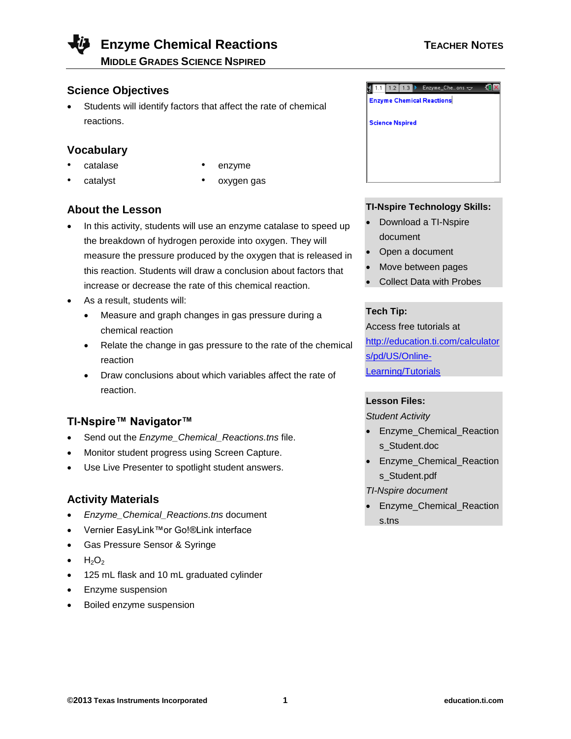## **Enzyme Chemical Reactions TEACHER NOTES**

**MIDDLE GRADES SCIENCE NSPIRED**

### **Science Objectives**

 Students will identify factors that affect the rate of chemical reactions.

### **Vocabulary**

- 
- 
- catalase enzyme
- catalyst oxygen gas

### **About the Lesson**

- In this activity, students will use an enzyme catalase to speed up the breakdown of hydrogen peroxide into oxygen. They will measure the pressure produced by the oxygen that is released in this reaction. Students will draw a conclusion about factors that increase or decrease the rate of this chemical reaction.
- As a result, students will:
	- Measure and graph changes in gas pressure during a chemical reaction
	- Relate the change in gas pressure to the rate of the chemical reaction
	- Draw conclusions about which variables affect the rate of reaction.

### **TI-Nspire™ Navigator™**

- Send out the *Enzyme\_Chemical\_Reactions.tns* file.
- Monitor student progress using Screen Capture.
- Use Live Presenter to spotlight student answers.

### **Activity Materials**

- *Enzyme\_Chemical\_Reactions.tns* document
- Vernier EasyLink™or Go!®Link interface
- Gas Pressure Sensor & Syringe
- $H_2O_2$
- 125 mL flask and 10 mL graduated cylinder
- Enzyme suspension
- Boiled enzyme suspension

# $\sqrt{1.1$  1.2 1.3  $\,$  Enzyme\_Che…ons  $\sim$ **Enzyme Chemical Reactions Science Nspired**

### **TI-Nspire Technology Skills:**

- Download a TI-Nspire document
- Open a document
- Move between pages
- Collect Data with Probes

### **Tech Tip:**

Access free tutorials at [http://education.ti.com/calculator](http://education.ti.com/calculators/pd/US/Online-Learning/Tutorials) [s/pd/US/Online-](http://education.ti.com/calculators/pd/US/Online-Learning/Tutorials)[Learning/Tutorials](http://education.ti.com/calculators/pd/US/Online-Learning/Tutorials)

### **Lesson Files:**

*Student Activity*

- Enzyme\_Chemical\_Reaction s\_Student.doc
- Enzyme\_Chemical\_Reaction s\_Student.pdf
- *TI-Nspire document*
- Enzyme\_Chemical\_Reaction s.tns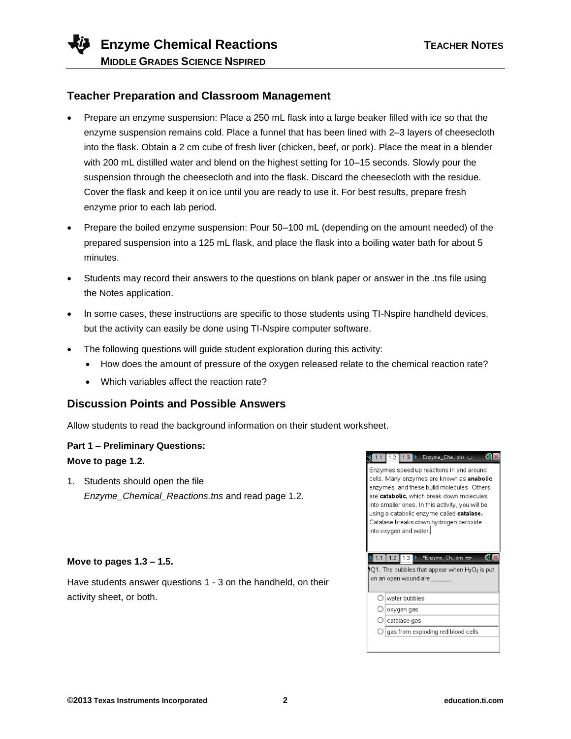

### **Teacher Preparation and Classroom Management**

- Prepare an enzyme suspension: Place a 250 mL flask into a large beaker filled with ice so that the enzyme suspension remains cold. Place a funnel that has been lined with 2–3 layers of cheesecloth into the flask. Obtain a 2 cm cube of fresh liver (chicken, beef, or pork). Place the meat in a blender with 200 mL distilled water and blend on the highest setting for 10–15 seconds. Slowly pour the suspension through the cheesecloth and into the flask. Discard the cheesecloth with the residue. Cover the flask and keep it on ice until you are ready to use it. For best results, prepare fresh enzyme prior to each lab period.
- Prepare the boiled enzyme suspension: Pour 50–100 mL (depending on the amount needed) of the prepared suspension into a 125 mL flask, and place the flask into a boiling water bath for about 5 minutes.
- Students may record their answers to the questions on blank paper or answer in the .tns file using the Notes application.
- In some cases, these instructions are specific to those students using TI-Nspire handheld devices, but the activity can easily be done using TI-Nspire computer software.
- The following questions will guide student exploration during this activity:
	- How does the amount of pressure of the oxygen released relate to the chemical reaction rate?
	- Which variables affect the reaction rate?

### **Discussion Points and Possible Answers**

Allow students to read the background information on their student worksheet.

### **Part 1 – Preliminary Questions: Move to page 1.2.**

1. Students should open the file *Enzyme\_Chemical\_Reactions.tns* and read page 1.2.

### **Move to pages 1.3 – 1.5.**

Have students answer questions 1 - 3 on the handheld, on their activity sheet, or both.

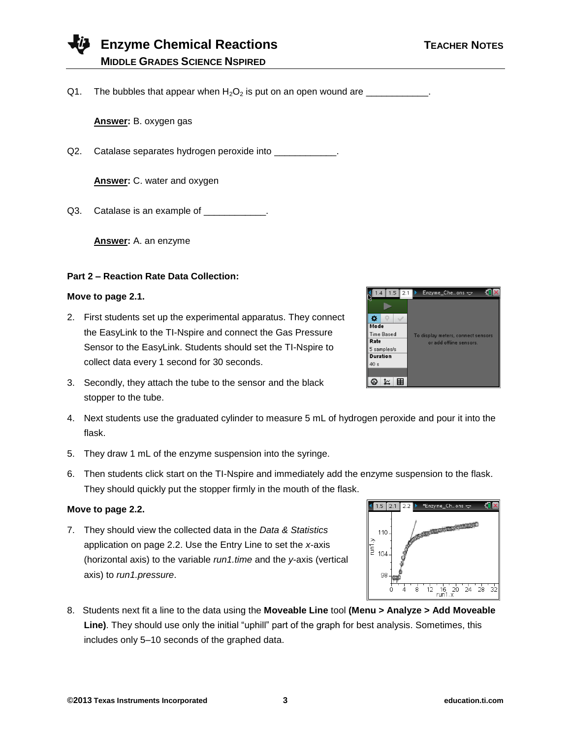### **Enzyme Chemical Reactions TEACHER NOTES MIDDLE GRADES SCIENCE NSPIRED**

Q1. The bubbles that appear when  $H_2O_2$  is put on an open wound are  $\frac{1}{\sqrt{1-\frac{1}{2}}}\frac{1}{\sqrt{1-\frac{1}{2}}}\frac{1}{\sqrt{1-\frac{1}{2}}}\frac{1}{\sqrt{1-\frac{1}{2}}}\frac{1}{\sqrt{1-\frac{1}{2}}}\frac{1}{\sqrt{1-\frac{1}{2}}}\frac{1}{\sqrt{1-\frac{1}{2}}}\frac{1}{\sqrt{1-\frac{1}{2}}}\frac{1}{\sqrt{1-\frac{1}{2}}}\frac{1}{\$ 

**Answer:** B. oxygen gas

Q2. Catalase separates hydrogen peroxide into \_\_\_\_\_\_\_\_\_\_\_\_\_.

**Answer:** C. water and oxygen

Q3. Catalase is an example of \_\_\_\_\_\_\_\_\_\_\_\_.

**Answer:** A. an enzyme

### **Part 2 – Reaction Rate Data Collection:**

### **Move to page 2.1.**

- 2. First students set up the experimental apparatus. They connect the EasyLink to the TI-Nspire and connect the Gas Pressure Sensor to the EasyLink. Students should set the TI-Nspire to collect data every 1 second for 30 seconds.
- 3. Secondly, they attach the tube to the sensor and the black stopper to the tube.
- 4. Next students use the graduated cylinder to measure 5 mL of hydrogen peroxide and pour it into the flask.
- 5. They draw 1 mL of the enzyme suspension into the syringe.
- 6. Then students click start on the TI-Nspire and immediately add the enzyme suspension to the flask. They should quickly put the stopper firmly in the mouth of the flask.

### **Move to page 2.2.**

- 7. They should view the collected data in the *Data & Statistics* application on page 2.2. Use the Entry Line to set the *x*-axis (horizontal axis) to the variable *run1.time* and the *y*-axis (vertical axis) to *run1.pressure*.
- 8. Students next fit a line to the data using the **Moveable Line** tool **(Menu > Analyze > Add Moveable Line)**. They should use only the initial "uphill" part of the graph for best analysis. Sometimes, this includes only 5–10 seconds of the graphed data.

| 1.4               | $1.5$   2.1 | $Enzyme_Che_{}$ ons $\leftarrow$   |
|-------------------|-------------|------------------------------------|
|                   |             |                                    |
|                   |             |                                    |
| Mode              |             |                                    |
| <b>Time Based</b> |             | To display meters, connect sensors |
| Rate              |             | or add offline sensors.            |
| 5 samples/s       |             |                                    |
| <b>Duration</b>   |             |                                    |
| 40s               |             |                                    |
|                   |             |                                    |
|                   |             |                                    |

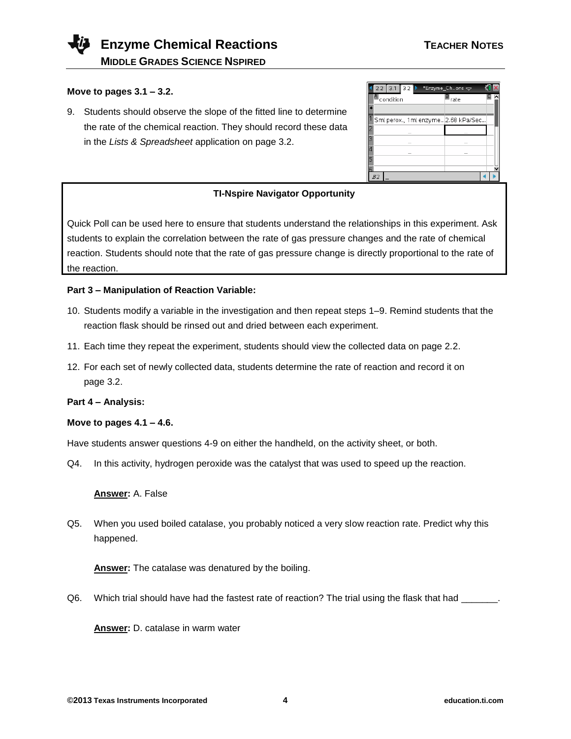### **Move to pages 3.1 – 3.2.**

9. Students should observe the slope of the fitted line to determine the rate of the chemical reaction. They should record these data in the *Lists & Spreadsheet* application on page 3.2.

| 2.2<br>3.1<br>$3.2$ $\triangleright$ | *Enzyme_Ch…ons $\Leftarrow$        |
|--------------------------------------|------------------------------------|
| Condition                            | $\blacksquare$ <sub>rate</sub>     |
|                                      |                                    |
|                                      | Sml perox., 1ml enzyme2.68 kPa/Sec |
| -                                    |                                    |
| -                                    |                                    |
|                                      |                                    |
| 5                                    |                                    |
|                                      |                                    |
| R7                                   |                                    |

### **TI-Nspire Navigator Opportunity**

Quick Poll can be used here to ensure that students understand the relationships in this experiment. Ask students to explain the correlation between the rate of gas pressure changes and the rate of chemical reaction. Students should note that the rate of gas pressure change is directly proportional to the rate of the reaction.

### **Part 3 – Manipulation of Reaction Variable:**

- 10. Students modify a variable in the investigation and then repeat steps 1–9. Remind students that the reaction flask should be rinsed out and dried between each experiment.
- 11. Each time they repeat the experiment, students should view the collected data on page 2.2.
- 12. For each set of newly collected data, students determine the rate of reaction and record it on page 3.2.

### **Part 4 – Analysis:**

### **Move to pages 4.1 – 4.6.**

Have students answer questions 4-9 on either the handheld, on the activity sheet, or both.

Q4. In this activity, hydrogen peroxide was the catalyst that was used to speed up the reaction.

### **Answer:** A. False

Q5. When you used boiled catalase, you probably noticed a very slow reaction rate. Predict why this happened.

**Answer:** The catalase was denatured by the boiling.

Q6. Which trial should have had the fastest rate of reaction? The trial using the flask that had \_\_\_\_\_\_\_

**Answer:** D. catalase in warm water